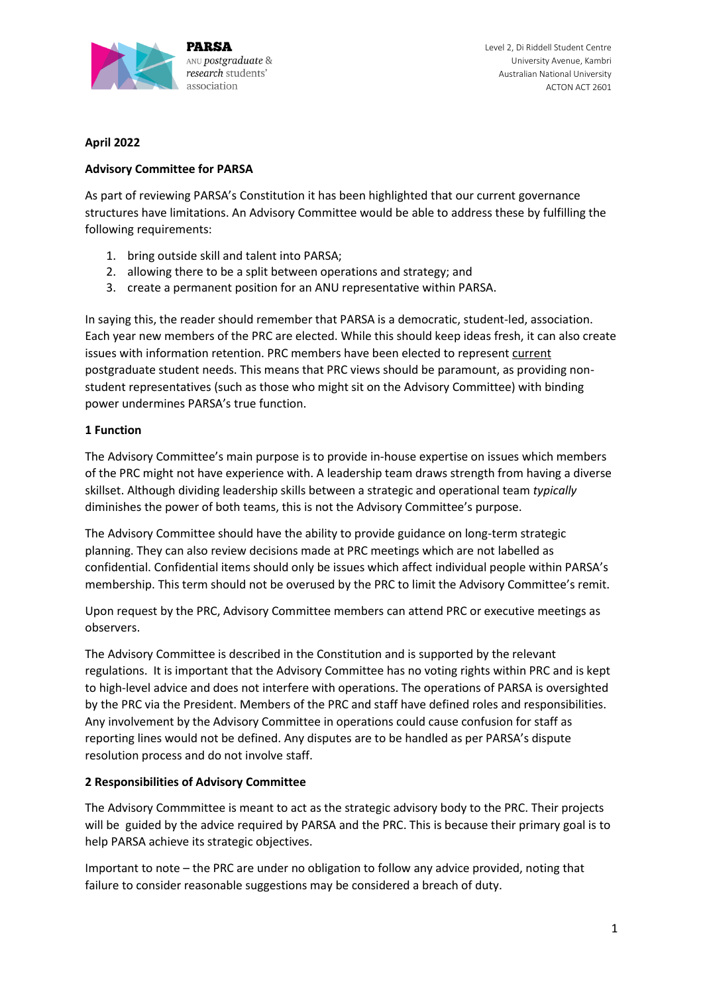

Level 2, Di Riddell Student Centre University Avenue, Kambri Australian National University ACTON ACT 2601

# **April 2022**

# **Advisory Committee for PARSA**

As part of reviewing PARSA's Constitution it has been highlighted that our current governance structures have limitations. An Advisory Committee would be able to address these by fulfilling the following requirements:

- 1. bring outside skill and talent into PARSA;
- 2. allowing there to be a split between operations and strategy; and
- 3. create a permanent position for an ANU representative within PARSA.

In saying this, the reader should remember that PARSA is a democratic, student-led, association. Each year new members of the PRC are elected. While this should keep ideas fresh, it can also create issues with information retention. PRC members have been elected to represent current postgraduate student needs. This means that PRC views should be paramount, as providing nonstudent representatives (such as those who might sit on the Advisory Committee) with binding power undermines PARSA's true function.

# **1 Function**

The Advisory Committee's main purpose is to provide in-house expertise on issues which members of the PRC might not have experience with. A leadership team draws strength from having a diverse skillset. Although dividing leadership skills between a strategic and operational team *typically* diminishes the power of both teams, this is not the Advisory Committee's purpose.

The Advisory Committee should have the ability to provide guidance on long-term strategic planning. They can also review decisions made at PRC meetings which are not labelled as confidential. Confidential items should only be issues which affect individual people within PARSA's membership. This term should not be overused by the PRC to limit the Advisory Committee's remit.

Upon request by the PRC, Advisory Committee members can attend PRC or executive meetings as observers.

The Advisory Committee is described in the Constitution and is supported by the relevant regulations. It is important that the Advisory Committee has no voting rights within PRC and is kept to high-level advice and does not interfere with operations. The operations of PARSA is oversighted by the PRC via the President. Members of the PRC and staff have defined roles and responsibilities. Any involvement by the Advisory Committee in operations could cause confusion for staff as reporting lines would not be defined. Any disputes are to be handled as per PARSA's dispute resolution process and do not involve staff.

# **2 Responsibilities of Advisory Committee**

The Advisory Commmittee is meant to act as the strategic advisory body to the PRC. Their projects will be guided by the advice required by PARSA and the PRC. This is because their primary goal is to help PARSA achieve its strategic objectives.

Important to note – the PRC are under no obligation to follow any advice provided, noting that failure to consider reasonable suggestions may be considered a breach of duty.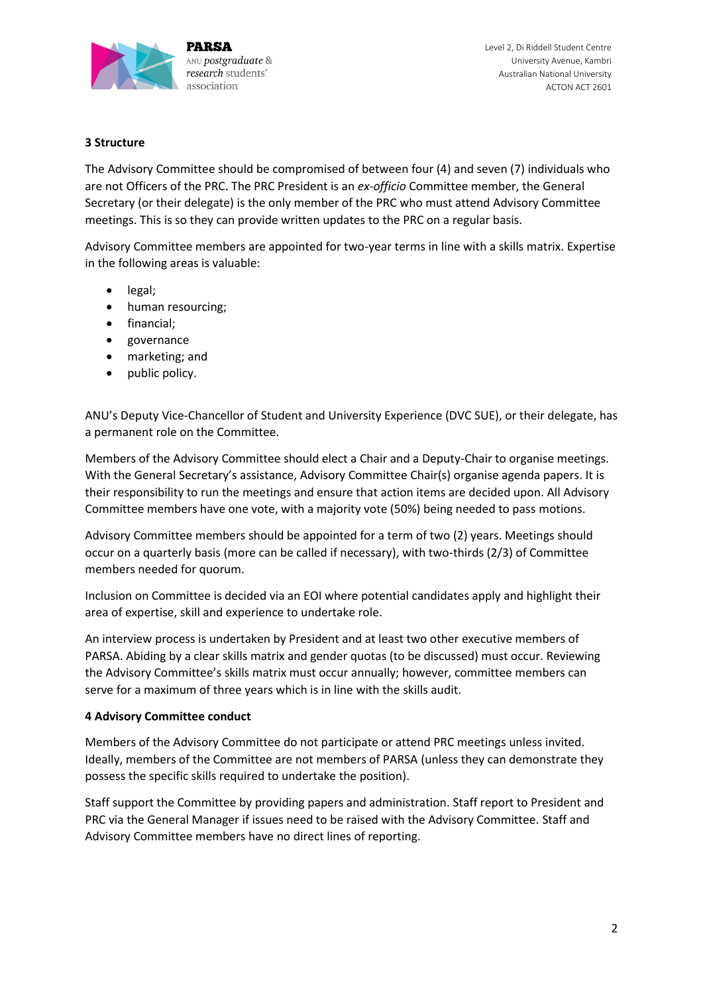

Level 2, Di Riddell Student Centre University Avenue, Kambri Australian National University ACTON ACT 2601

### **3 Structure**

The Advisory Committee should be compromised of between four (4) and seven (7) individuals who are not Officers of the PRC. The PRC President is an *ex-officio* Committee member, the General Secretary (or their delegate) is the only member of the PRC who must attend Advisory Committee meetings. This is so they can provide written updates to the PRC on a regular basis.

Advisory Committee members are appointed for two-year terms in line with a skills matrix. Expertise in the following areas is valuable:

- legal;
- human resourcing:
- financial;
- governance
- marketing; and
- public policy.

ANU's Deputy Vice-Chancellor of Student and University Experience (DVC SUE), or their delegate, has a permanent role on the Committee.

Members of the Advisory Committee should elect a Chair and a Deputy-Chair to organise meetings. With the General Secretary's assistance, Advisory Committee Chair(s) organise agenda papers. It is their responsibility to run the meetings and ensure that action items are decided upon. All Advisory Committee members have one vote, with a majority vote (50%) being needed to pass motions.

Advisory Committee members should be appointed for a term of two (2) years. Meetings should occur on a quarterly basis (more can be called if necessary), with two-thirds (2/3) of Committee members needed for quorum.

Inclusion on Committee is decided via an EOI where potential candidates apply and highlight their area of expertise, skill and experience to undertake role.

An interview process is undertaken by President and at least two other executive members of PARSA. Abiding by a clear skills matrix and gender quotas (to be discussed) must occur. Reviewing the Advisory Committee's skills matrix must occur annually; however, committee members can serve for a maximum of three years which is in line with the skills audit.

#### **4 Advisory Committee conduct**

Members of the Advisory Committee do not participate or attend PRC meetings unless invited. Ideally, members of the Committee are not members of PARSA (unless they can demonstrate they possess the specific skills required to undertake the position).

Staff support the Committee by providing papers and administration. Staff report to President and PRC via the General Manager if issues need to be raised with the Advisory Committee. Staff and Advisory Committee members have no direct lines of reporting.